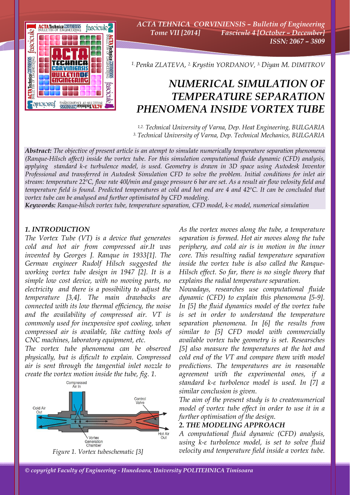

*ACTA TEHNICA CORVINIENSIS – Bulletin of Engineering Tome VII [2014] Fascicule 4 [October – December] ISSN: 2067 – 3809* 

*1. Penka ZLATEVA, 2. Krystin YORDANOV, 3. Diyan M. DIMITROV*

# *NUMERICAL SIMULATION OF TEMPERATURE SEPARATION PHENOMENA INSIDE VORTEX TUBE*

*1,2. Technical University of Varna, Dep. Heat Engineering, BULGARIA 3. Technical University of Varna, Dep. Technical Mechanics, BULGARIA*

*Abstract: The objective of present article is an atempt to simulate numerically temperature separation phenomena (Ranque-Hilsch affect) inside the vortex tube. For this simulation computational fluide dynamic (CFD) analysis, applying standard k-ε turbulence model, is used. Geometry is drawn in 3D space using Autodesk Inventor Professional and transferred in Autodesk Simulation CFD to solve the problem. Initial conditions for inlet air stream: temperature 22ºC, flow rate 40l/min and gauge pressure 6 bar are set. As a result air flow velosity field and temperature field is found. Predicted temperatures at cold and hot end are 4 and 42ºC. It can be concluded that vortex tube can be analysed and further optimisated by CFD modeling.* 

*Keywords: Ranque-hilsch vortex tube, temperature separation, CFD model, k-ε model, numerical simulation*

#### *1. INTRODUCTION*

*The Vortex Tube (VT) is a device that generates cold and hot air from compressed air.It was invented by Georges J. Ranque in 1933[1]. Тhe German engineer Rudolf Hilsch suggested the working vortex tube design in 1947 [2]. It is a simple low cost device, with no moving parts, no electricity and there is a possibility to adjust the temperature [3,4]. The main drawbacks are connected with its low thermal efficiency, the noise and the availability of compressed air. VT is commonly used for inexpensive spot cooling, when compressed air is available, like cutting tools of CNC machines, laboratory equipment, etc.* 

*The vortex tube phenomena can be observed physically, but is dificult to explain. Compressed air is sent through the tangential inlet nozzle to create the vortex motion inside the tube, fig. 1.* 



*As the vortex moves along the tube, a temperature separation is formed. Hot air moves along the tube periphery, and cold air is in motion in the inner core. This resulting radial temperature separation inside the vortex tube is also called the Ranque-Hilsch effect. So far, there is no single theory that explains the radial temperature separation.* 

*Nowadays, researches use computational fluide dynamic (CFD) to explain this phenomena [5-9]. In [5] the fluid dynamics model of the vortex tube is set in order to understand the temperature separation phenomena. In [6] the results from similar to [5] CFD model with commercially available vortex tube geometry is set. Researsches [5] also measure the temperatures at the hot and cold end of the VT and compare them with model predictions. The temperatures are in reasonable agreement with the experimental ones, if a standard k-ε turbolence model is used. In [7] a similar conclusion is given.* 

*The aim of the present study is to createnumerical model of vortex tube effect in order to use it in a further optimisation of the design.* 

#### *2. THE MODELING APPROACH*

*A computational fluid dynamic (CFD) analysis, using k-ε turbolence model, is set to solve fluid velocity and temperature field inside a vortex tube.*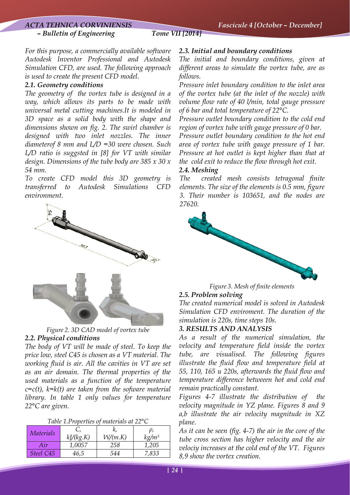# *ACTA TEHNICA CORVINIENSIS Fascicule 4 [October – December]*

*For this purpose, a commercially available software Autodesk Inventor Professional and Autodesk Simulation CFD, are used. The following approach is used to create the present CFD model.* 

# *2.1. Geometry conditions*

*The geometry of the vortex tube is designed in a way, which allows its parts to be made with universal metal cutting machines.It is modeled in 3D space as a solid body with the shape and dimensions shown on fig. 2. The swirl chamber is designed with two inlet nozzles. The inner diameterof 8 mm and L/D =30 were chosen. Such L/D ratio is suggsted in [8] for VT with similar design. Dimensions of the tube body are 385 х 30 х 54 mm.* 

*To create CFD model this 3D geometry is transferred to Autodesk Simulations CFD environment.* 



*Figure 2. 3D CAD model of vortex tube 2.2. Physical conditions* 

*The body of VT will be made of steel. To keep the price low, steel C45 is chosen as a VT material. The working fluid is air. All the cavities in VT are set as an air domain. The thermal properties of the used materials as a function of the temperature с=c(t), k=k(t) are taken from the sofware material library. In table 1 only values for temperature 22°C are given.* 

| Table 1.Properties of materials at 22°C |  |  |  |
|-----------------------------------------|--|--|--|
|-----------------------------------------|--|--|--|

| Materials | kJ/(kg.K) | W/(m.K) | kg/m <sup>3</sup> |
|-----------|-----------|---------|-------------------|
| Air       | 1,0057    | 258     | 1,205             |
| Steel C45 | 46,5      | 544     | 7,833             |

# *2.3. Initial and boundary conditions*

*The initial and boundary conditions, given at different areas to simulate the vortex tube, are as follows.* 

*Pressure inlet boundary condition to the inlet area of the vortex tube (at the inlet of the nozzle) with volume flow rate of 40 l/min, total gauge pressure of 6 bar and total temperature of 22°С.* 

*Pressure outlet boundary condition to the cold end region of vortex tube with gauge pressure of 0 bar. Pressure outlet boundary condition to the hot end area of vortex tube with gauge pressure of 1 bar. Pressure at hot outlet is kept higher than that at the cold exit to reduce the flow through hot exit.* 

#### *2.4. Meshing*

*The created mesh consists tetragonal finite elements. The size of the elements is 0.5 mm, figure 3. Their number is 103651, and the nodes are 27620.* 



*Figure 3. Mesh of finite elements* 

### *2.5. Problem solving*

*The created numerical model is solved in Autodesk Simulation CFD enviroment. The duration of the simulation is 220s, time steps 10s.* 

### *3. RESULTS AND ANALYSIS*

*As a result of the numerical simulation, the velocity and temperature field inside the vortex tube, are visualised. The following figures illustrate the fluid flow and temperature field at 55, 110, 165 и 220s, afterwards the fluid flow and temperature difference betweeen hot and cold end remain practically constant.* 

*Figures 4-7 illustrate the distribution of the velocity magnitude in YZ plane. Figures 8 and 9 a,b illustrate the air velocity magnitude in XZ plane.* 

*As it can be seen (fig. 4-7) the air in the core of the tube cross section has higher velocity and the air velociy increases at the cold end of the VT. Figures 8,9 show the vortex creation.*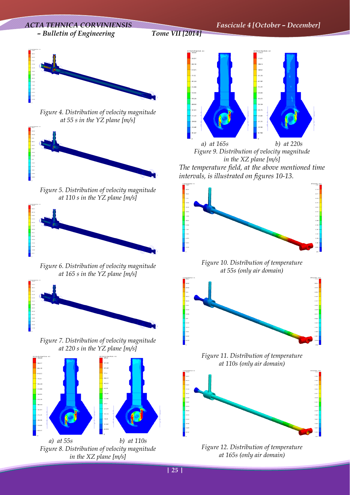### *ACTA TEHNICA CORVINIENSIS Fascicule 4 [October – December] – Bulletin of Engineering Tome VII [2014]*



*Figure 4. Distribution of velocity magnitude at 55 s in the YZ plane [m/s]* 



*Figure 5. Distribution of velocity magnitude at 110 s in the YZ plane [m/s]* 



*Figure 6. Distribution of velocity magnitude at 165 s in the YZ plane [m/s]* 



*Figure 7. Distribution of velocity magnitude at 220 s in the YZ plane [m/s]* 



*Figure 8. Distribution of velocity magnitude in the XZ plane [m/s]* 



*а) at 165s b) at 220s Figure 9. Distribution of velocity magnitude in the XZ plane [m/s] The temperature field, at the above mentioned time intervals, is illustrated on figures 10-13.* 



*Figure 10. Distribution of temperature at 55s (only air domain)* 



*Figure 11. Distribution of temperature at 110s (only air domain)* 



*Figure 12. Distribution of temperature at 165s (only air domain)*